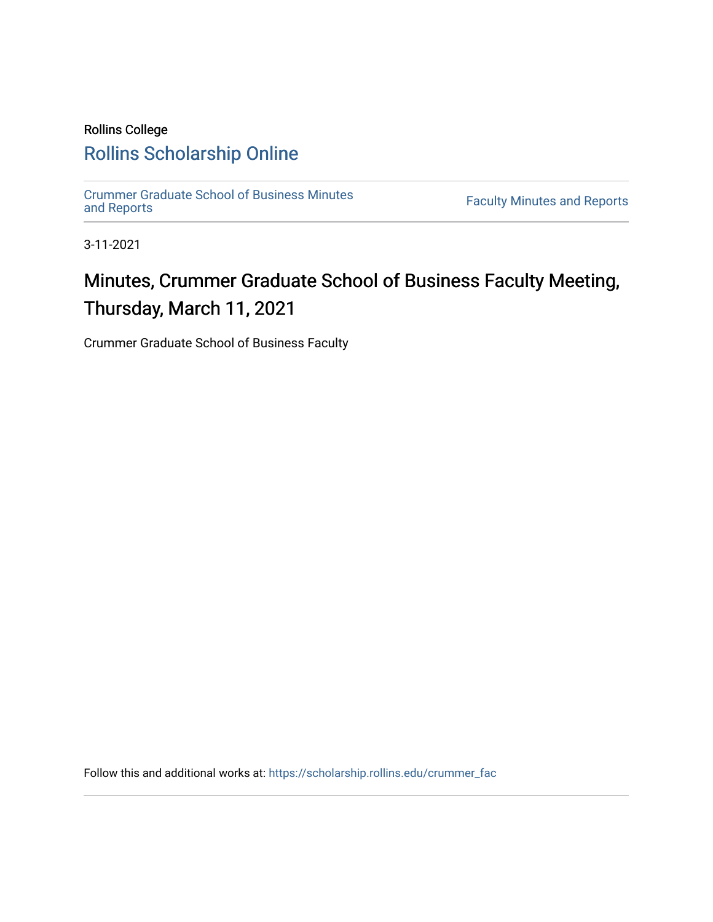# Rollins College [Rollins Scholarship Online](https://scholarship.rollins.edu/)

[Crummer Graduate School of Business Minutes](https://scholarship.rollins.edu/crummer_fac) 

**Faculty Minutes [and Reports](https://scholarship.rollins.edu/crummer_fac)** 

3-11-2021

# Minutes, Crummer Graduate School of Business Faculty Meeting, Thursday, March 11, 2021

Crummer Graduate School of Business Faculty

Follow this and additional works at: [https://scholarship.rollins.edu/crummer\\_fac](https://scholarship.rollins.edu/crummer_fac?utm_source=scholarship.rollins.edu%2Fcrummer_fac%2F120&utm_medium=PDF&utm_campaign=PDFCoverPages)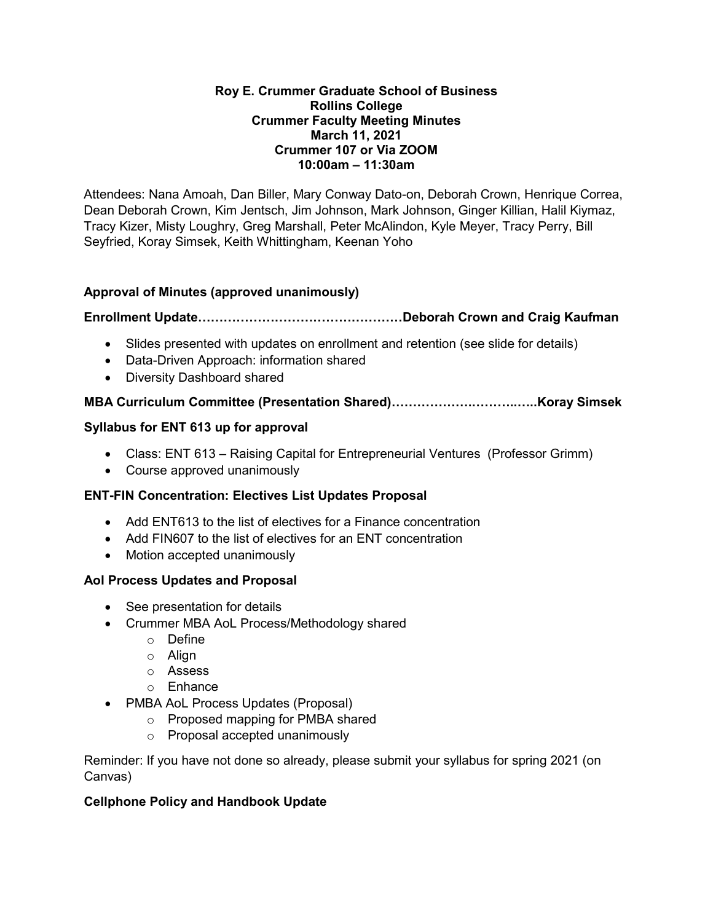#### **Roy E. Crummer Graduate School of Business Rollins College Crummer Faculty Meeting Minutes March 11, 2021 Crummer 107 or Via ZOOM 10:00am – 11:30am**

Attendees: Nana Amoah, Dan Biller, Mary Conway Dato-on, Deborah Crown, Henrique Correa, Dean Deborah Crown, Kim Jentsch, Jim Johnson, Mark Johnson, Ginger Killian, Halil Kiymaz, Tracy Kizer, Misty Loughry, Greg Marshall, Peter McAlindon, Kyle Meyer, Tracy Perry, Bill Seyfried, Koray Simsek, Keith Whittingham, Keenan Yoho

# **Approval of Minutes (approved unanimously)**

# **Enrollment Update…………………………………………Deborah Crown and Craig Kaufman**

- Slides presented with updates on enrollment and retention (see slide for details)
- Data-Driven Approach: information shared
- Diversity Dashboard shared

# **MBA Curriculum Committee (Presentation Shared)……………….………..…..Koray Simsek**

#### **Syllabus for ENT 613 up for approval**

- Class: ENT 613 Raising Capital for Entrepreneurial Ventures (Professor Grimm)
- Course approved unanimously

#### **ENT-FIN Concentration: Electives List Updates Proposal**

- Add ENT613 to the list of electives for a Finance concentration
- Add FIN607 to the list of electives for an ENT concentration
- Motion accepted unanimously

#### **Aol Process Updates and Proposal**

- See presentation for details
- Crummer MBA AoL Process/Methodology shared
	- o Define
	- o Align
	- o Assess
	- o Enhance
- PMBA AoL Process Updates (Proposal)
	- o Proposed mapping for PMBA shared
	- o Proposal accepted unanimously

Reminder: If you have not done so already, please submit your syllabus for spring 2021 (on Canvas)

# **Cellphone Policy and Handbook Update**